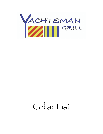

# Cellar List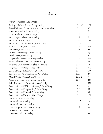## Red Wines

| North American Cabernets                         |         |            |
|--------------------------------------------------|---------|------------|
| Beringer "Private Reserve", Napa Valley          | 2007/10 | 265        |
| Brandlín Estate Grown, Mount Veeder, Napa Valley | 2011    | 110        |
| Chateau St. Michelle, Napa Valley                |         | 60         |
| Clos Duval Estate, Napa Valley                   | 2015    | 125        |
| Decoy by Duckhorn, Napa Valley                   | 2016    | 60         |
| Duckhorn, Napa Valley                            | 2014    | <b>120</b> |
| Duckhorn "The Discussion", Napa Valley           | 2010/12 | 270        |
| Emerson Brown, Napa Valley                       | 2013    | 145        |
| Far Niente, Napa Valley                          | 2014    | 340        |
| Físher "Coach Insígnía" Napa Valley              | 2012    | 215        |
| Frank Family, Napa Valley                        |         | 110        |
| Grgich Hills Estate Grown, Napa Valley           | 2014    | 145        |
| Hess Collection "The Lion", Napa Valley          | 2013    | 350        |
| Hillbrand Showcase "East Block", Ontario         | 2010    | 65         |
| Insígnía Joseph Phelps, Napa Valley              | 2016    | 560        |
| Joseph Phelps Estate Grown, Napa Valley          | 2016    | 160        |
| Lail Vineyards "J. Daniel Cuvée" Napa Valley     | 2006    | 275        |
| Mount Veeder Winery, Napa Valley                 | 2012/16 | 95         |
| Nickel and Nickel "C.C. Ranch", Oakville         | 2014    | 245        |
| Peter Míchaels les Pavots, Sonoma County         |         | 470        |
| Robert Mondaví "50th Anníversary", Napa Valley   | 2014    | 185        |
| Robert Mondaví "Napa Valley", Napa Valley        | 2015    | 85         |
| Robert Mondaví "Oakville", Napa Valley           | 2011    | 115        |
| Robert Mondaví Reserve, Napa Valley              | 2009    | 265        |
| Sílverado"Solo", Napa Valley                     | 2010    | 200        |
| Sílver Oak, Napa Valley                          | 2012/13 | 250        |
| Silver Oak, Alexander Valley                     |         | 165        |
| Stag's Leap "Artemis", Napa Valley               | 2016    | 115        |
| Sebastiani, Sonoma County,                       |         | 70         |
| Two Vines, Colombia Valley                       |         | 35         |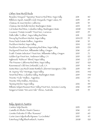#### Other New World Reds

| Beaulieu Vineyard "Tapestry" Reserve Red Wine, Napa Vally      | 2011    | 11O             |
|----------------------------------------------------------------|---------|-----------------|
| Billsboro Syrah, Sawmill Creek Vineyards, Finger Lakes, NY     | 2013    | 95              |
| Chateau St Jean Merlot, California                             | 2013    | 35              |
| Chateau Ste Michelle Merlot, Washington State                  | 2014    | 45              |
| Col Solare Red Wine, Columbia Valley, Washington State         | 2008    | 140             |
| Cuvaison "Estate Growth" Pinot Noir, Carneros                  | 2015    | 95              |
| Dalla Vallie "Collina", Napa Valley Red Wine                   | 2011    | 220             |
| Decoy by Duckhorn Merlot, Napa Valley                          | 2014/15 | 55              |
| Dona Paula Estate Malbec, Argentína                            | 2018    | 35              |
| Duckhorn Merlot, Napa Valley                                   | 2014    | 125             |
| Duckhorn Paraduxx Propríetary Red Wine, Napa Valley            | 2013    | 170             |
| Duckpond Pinot Noir, Williamette Valley, Oregon                | 2016    | 65              |
| Erath "Estate Selection" Pinot Noir, Willamette Valley, Oregon | 2015    | 72              |
| Golden Eye Pinot Noir, Anderson Valley, CA                     | 2015    | 125             |
| Inglenook "Rubicon" Blend, Napa Valley                         | 2010    | 275             |
| The Prisoner California Red Wine, Napa Valley                  | 2017    | 120             |
| Ravenswood Old Vine Zinfandel, Lodi, CA                        | 2015    | 40 <sup>°</sup> |
| Santa Rita Casa Real Estate Bottled Cabernet Sauvignon, Chile  | 2013    | 135             |
| St. Suprey "Elu" Merítage, Napa Valley                         | 2012    | 140             |
| Tenet Red Wine, Columbia Valley, Washington State              | 2015    | 140             |
| Trívento "Eolo" Malbec, Argentína                              | 2012    | 175             |
| Trívento Tríbu Malbec, Mendoza,                                |         | 32              |
| Twomey Merlot, Napa Valley                                     | 2012    | 135             |
| Williams Selyem Russian River Valley Pinot Noir, Sonoma County | 2016    | 195             |
| Yangarra Estate "McLaren Vale" Shiraz, Australia               | 2011    | 55              |

| Italy, Spain & Austria                         |      |                 |
|------------------------------------------------|------|-----------------|
| Cantine Volpi Barolo                           | 2013 | 100             |
| Castello di Albola Chianti Classico            | 2016 | 45              |
| Ceretto Dolcetto D'Alba "Rossana"              | 2015 | 60              |
| Corte Gíara Valpolícella Rípasso "La Groletta" | 2015 | 45              |
| Esterhazy Follig Blaufrankisch, Austria        | 2008 | 12 <sub>O</sub> |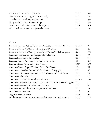| Esterhazy "Tesoro" Blend, Austría                | 2009 | 105 |
|--------------------------------------------------|------|-----|
| Gaja Ca' Marcanda "Magari", Toscany, Italy       | 2012 | 250 |
| Ornellaía dell'Ornellaía, Bolgherí, Italy        | 2014 | 395 |
| Marques de Murríeta "Dalmau" Ríoja               | 2012 | 130 |
| Tenuta San Guído "Sassícaía", Bolgherí, Italy    | 2014 | 375 |
| Villa Girardi Amarone della Valpolicella, Veneto | 2013 | 250 |

#### **France**

| Baron Philippe de Rothschild Mouton Cadet Reserve, Saint-Emilion    | 2012/14 | 75  |
|---------------------------------------------------------------------|---------|-----|
| Bouchard Pere & Fils "Réserve Bourgogne" Pinot Noir                 | 2017    | 42  |
| Bouchard Pere & Fils "Gevrey-Chambertin" Grand Vin de Bourgogne     | 2015    | 100 |
| Chateau Angelique de Monbousquet, Saint Emilion                     | 2013/14 | 79  |
| Chateau Beychevelle, Saint Julien                                   | 2011    | 195 |
| Chateau Clos de Jacobins, Saint Emilion Grand Cru                   | 2011    | 120 |
| Charteau Cos d'Estournel, Saint-Estephe                             | 2007    | 350 |
| Chateau Croizet-Bages "Pauillac" Grand Cru Classé                   | 2012    | 85  |
| Chateau de Chamirey "Mercurey" Grand Vin de Bourgogne               | 2014    | 110 |
| Chateau de Meursault Pommard Les Petits Noizons, Cote de Beaune     | 2014    | 75  |
| Chateau Gloría, Saint Julien                                        | 2014    | 135 |
| Chateau La Croix de Beaucaillou, Saint Julien                       | 2011/14 | 120 |
| Chateau Latour-Martillac Grand Cru Classé de Graves, Pessac-Léognan | 2011    | 70  |
| Chateau Mont-Redon Chateauneuf du Pape                              | 2014    | 80  |
| Chateau Prieure-Lichine Margaux, Grand Cru Classé                   | 2012    | 75  |
| Dourthe No.1, Bordeaux                                              | 2016    | 32  |
| Fugue de Nenín, Pomerol                                             | 2014    | 65  |
| Le Clarence de Haut-Brion, Grand Vin de Graves, Pessac-Léognan      | 2007    | 295 |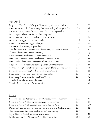### White Wines

#### New World

| 2013 | 70  |
|------|-----|
| 2016 | 35  |
| 2013 | 80  |
| 2017 | 70  |
| 2015 | 65  |
| 2016 | 79  |
| 2014 | 95  |
| 2017 | 130 |
| 2013 | 40  |
| 2015 | 125 |
|      | 11O |
| 2015 | 100 |
| 2015 | 38  |
| 2014 | 115 |
| 2015 | 32  |
| 2017 | 48  |
| 2015 | 60  |
| 2016 | 90  |
|      | 32  |
|      | 32  |
|      |     |

#### **France**

| 2012 | 75              |
|------|-----------------|
| 2016 | 40 <sup>1</sup> |
| 2015 | 160             |
| 2016 | 48              |
| 2017 | 55              |
| 2015 | 48              |
| 2014 | 60              |
|      |                 |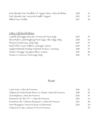| Paul Jaboulet Ainé "Parallele 45" Organic Wine, Côtes du Rhône | 2018 | 35  |
|----------------------------------------------------------------|------|-----|
| Paul Jaboulet Ainé "Secret de Famille" Viognier                | 2015 | 45  |
| William Fevre Chablis                                          | 2017 | 50  |
|                                                                |      |     |
|                                                                |      |     |
|                                                                |      |     |
| Other Old World Whites                                         |      |     |
| Castello del Poggio Moscato, Provincia Di Pavia, Italy         | 2015 | 35  |
| Elena Walch Castel Ringberg Pinot Grigio, Alto Adige, Italiy   | 2018 | 60  |
| Planeta Chardonnay, Sicily, Italy                              | 2015 | 55  |
| Rudi Pichler Gruner Veltliner, Smaragd, Austria                | 2013 | 115 |
| Siegbert Bimmele Riesling "Kabinett Trocken", Germany          | 2018 | 35  |
| Tement "Zieregg" Sauvignon Blanc, Austria                      | 2012 | 80  |
| Tenuta Ca' Vescovo Pínot Grígio, Italy                         | 2016 | 35  |

#### Rosé

| Carte Noire, Côtes de Provence                             | 2016 | 32              |
|------------------------------------------------------------|------|-----------------|
| Château de Saint-Martin Rosé Cru Classé, Côtes de Provence | 2018 | 50              |
| Clos Beylesse, Côtes de Provence                           | 2016 | 55              |
| Domaines Ott "BY OTT", Côtes de Provence                   | 2015 | 45              |
| Domaines Ott, "Chateau Romassan", Côtes de Provence        | 2017 | 80 <sup>°</sup> |
| Henri Bourgeois "Sancerre Rosé Les Baronnes"               | 2016 | 40              |
| Chateau la Coste, Coteaux D'Aix en Provence                |      | 50.             |